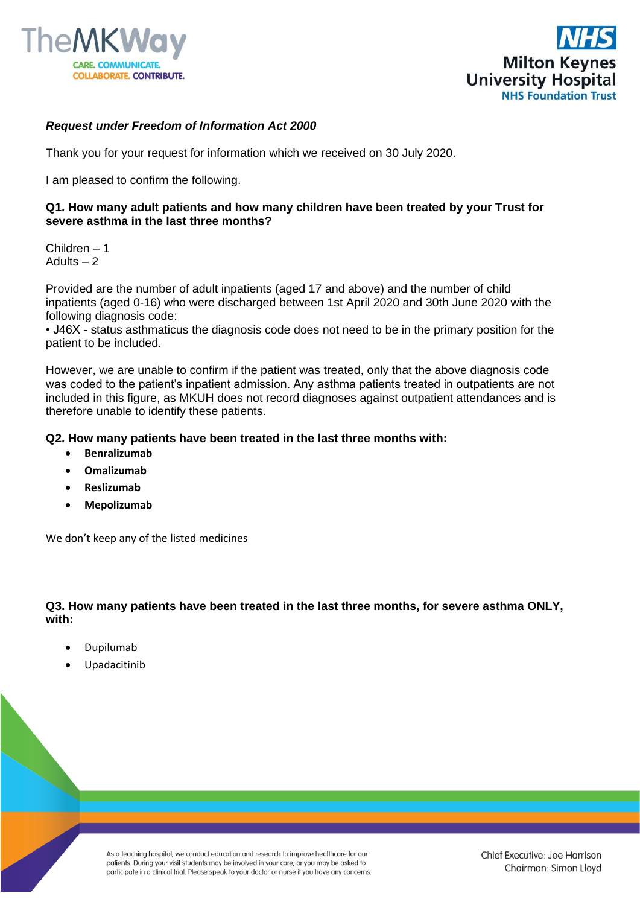



# *Request under Freedom of Information Act 2000*

Thank you for your request for information which we received on 30 July 2020.

I am pleased to confirm the following.

### **Q1. How many adult patients and how many children have been treated by your Trust for severe asthma in the last three months?**

Children – 1 Adults  $-2$ 

Provided are the number of adult inpatients (aged 17 and above) and the number of child inpatients (aged 0-16) who were discharged between 1st April 2020 and 30th June 2020 with the following diagnosis code:

• J46X - status asthmaticus the diagnosis code does not need to be in the primary position for the patient to be included.

However, we are unable to confirm if the patient was treated, only that the above diagnosis code was coded to the patient's inpatient admission. Any asthma patients treated in outpatients are not included in this figure, as MKUH does not record diagnoses against outpatient attendances and is therefore unable to identify these patients.

### **Q2. How many patients have been treated in the last three months with:**

- **Benralizumab**
- **Omalizumab**
- **Reslizumab**
- **Mepolizumab**

We don't keep any of the listed medicines

## **Q3. How many patients have been treated in the last three months, for severe asthma ONLY, with:**

- Dupilumab
- Upadacitinib

As a teaching hospital, we conduct education and research to improve healthcare for our patients. During your visit students may be involved in your care, or you may be asked to participate in a clinical trial. Please speak to your doctor or nurse if you have any concerns.